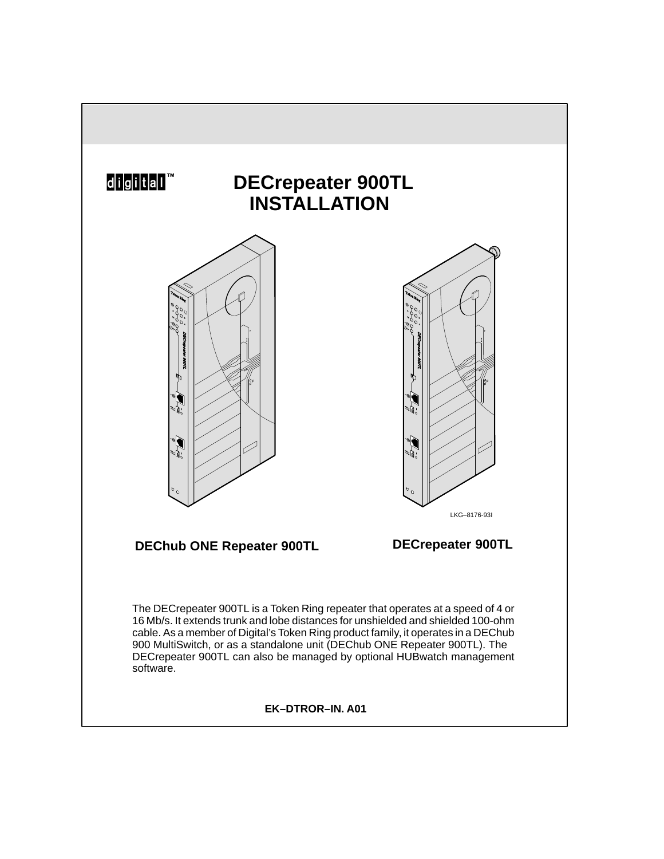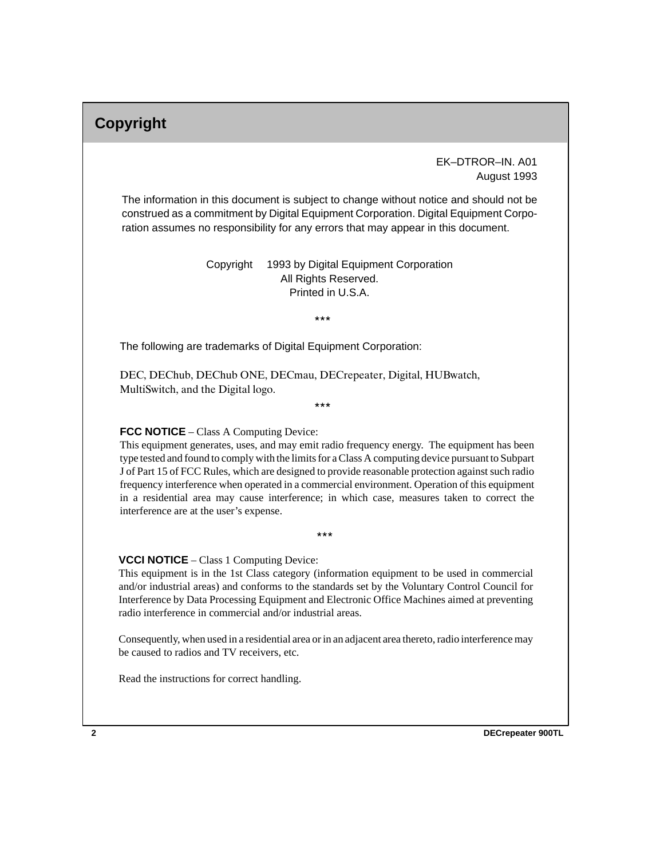# **Copyright**

### EK–DTROR–IN. A01 August 1993

The information in this document is subject to change without notice and should not be construed as a commitment by Digital Equipment Corporation. Digital Equipment Corporation assumes no responsibility for any errors that may appear in this document.

> Copyright © 1993 by Digital Equipment Corporation All Rights Reserved. Printed in U.S.A.

> > $***$

The following are trademarks of Digital Equipment Corporation:

DEC, DEChub, DEChub ONE, DECmau, DECrepeater, Digital, HUBwatch, MultiSwitch, and the Digital logo.

 $***$ 

#### **FCC NOTICE** – Class A Computing Device:

This equipment generates, uses, and may emit radio frequency energy. The equipment has been type tested and found to comply with the limits for a Class A computing device pursuant to Subpart J of Part 15 of FCC Rules, which are designed to provide reasonable protection against such radio frequency interference when operated in a commercial environment. Operation of this equipment in a residential area may cause interference; in which case, measures taken to correct the interference are at the user's expense.

 $***$ 

#### **VCCI NOTICE** – Class 1 Computing Device:

This equipment is in the 1st Class category (information equipment to be used in commercial and/or industrial areas) and conforms to the standards set by the Voluntary Control Council for Interference by Data Processing Equipment and Electronic Office Machines aimed at preventing radio interference in commercial and/or industrial areas.

Consequently, when used in a residential area or in an adjacent area thereto, radio interference may be caused to radios and TV receivers, etc.

Read the instructions for correct handling.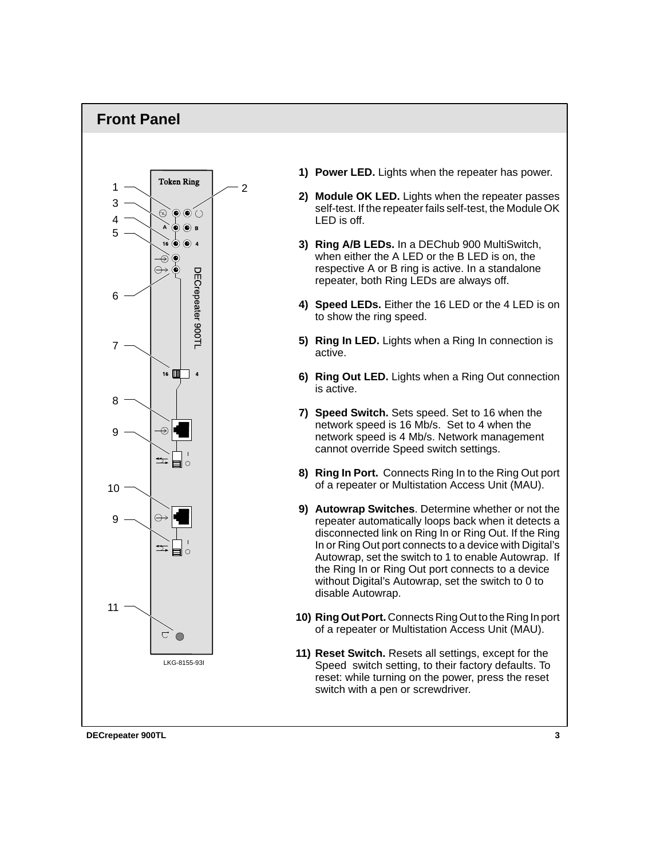### **Front Panel**



- **1) Power LED.** Lights when the repeater has power.
- **2) Module OK LED.** Lights when the repeater passes self-test. If the repeater fails self-test, the Module OK LED is off.
- **3) Ring A/B LEDs.** In a DEChub 900 MultiSwitch, when either the A LED or the B LED is on, the respective A or B ring is active. In a standalone repeater, both Ring LEDs are always off.
- **4) Speed LEDs.** Either the 16 LED or the 4 LED is on to show the ring speed.
- **5) Ring In LED.** Lights when a Ring In connection is active.
- **6) Ring Out LED.** Lights when a Ring Out connection is active.
- **7) Speed Switch.** Sets speed. Set to 16 when the network speed is 16 Mb/s. Set to 4 when the network speed is 4 Mb/s. Network management cannot override Speed switch settings.
- **8) Ring In Port.** Connects Ring In to the Ring Out port of a repeater or Multistation Access Unit (MAU).
- **9) Autowrap Switches**. Determine whether or not the repeater automatically loops back when it detects a disconnected link on Ring In or Ring Out. If the Ring In or Ring Out port connects to a device with Digital's Autowrap, set the switch to 1 to enable Autowrap. If the Ring In or Ring Out port connects to a device without Digital's Autowrap, set the switch to 0 to disable Autowrap.
- **10) Ring Out Port.** Connects Ring Out to the Ring In port of a repeater or Multistation Access Unit (MAU).
- **11) Reset Switch.** Resets all settings, except for the Speed switch setting, to their factory defaults. To reset: while turning on the power, press the reset switch with a pen or screwdriver.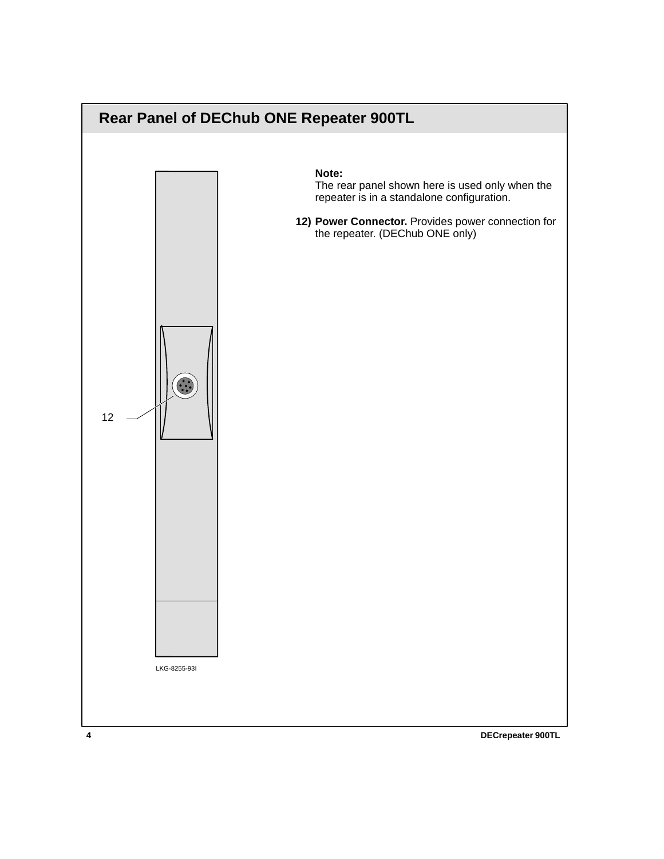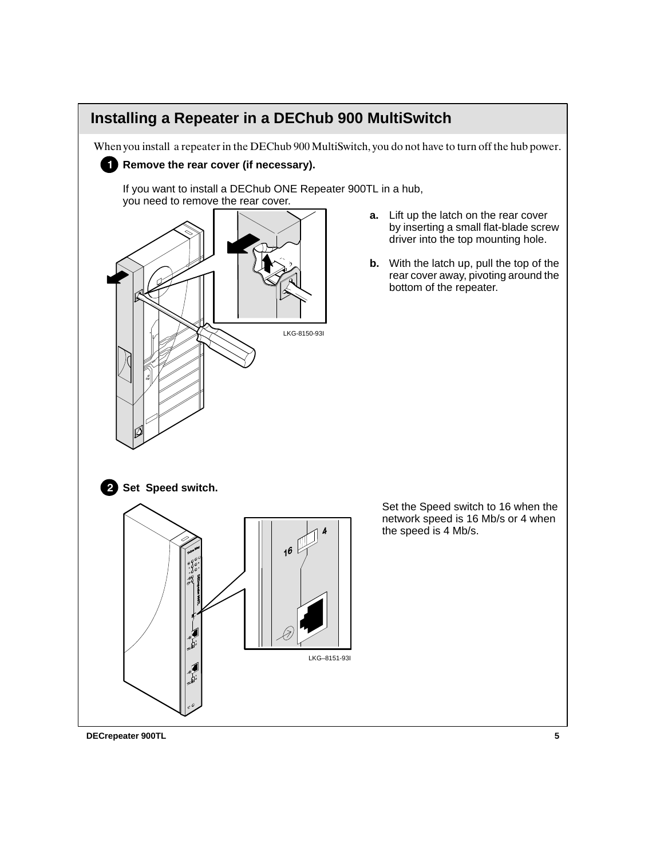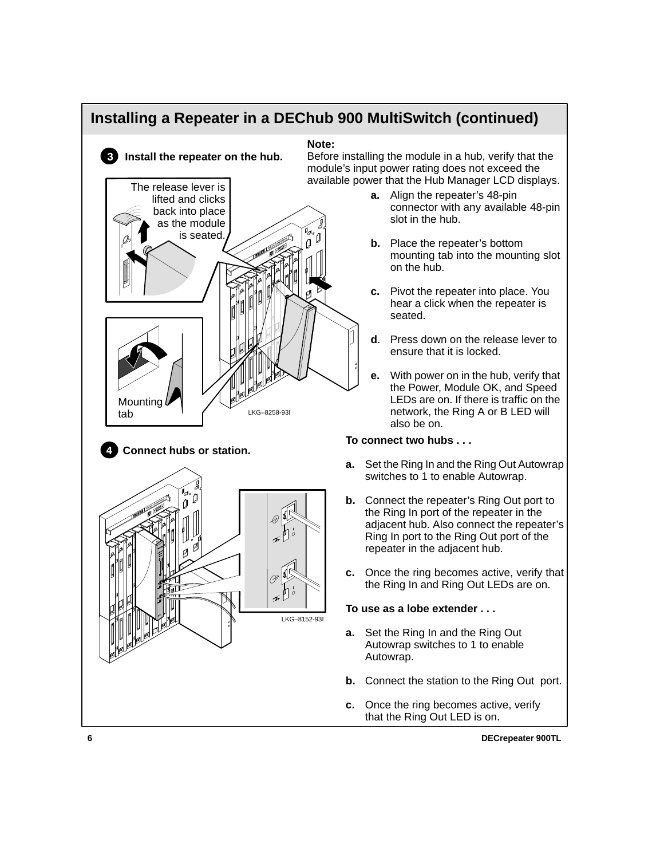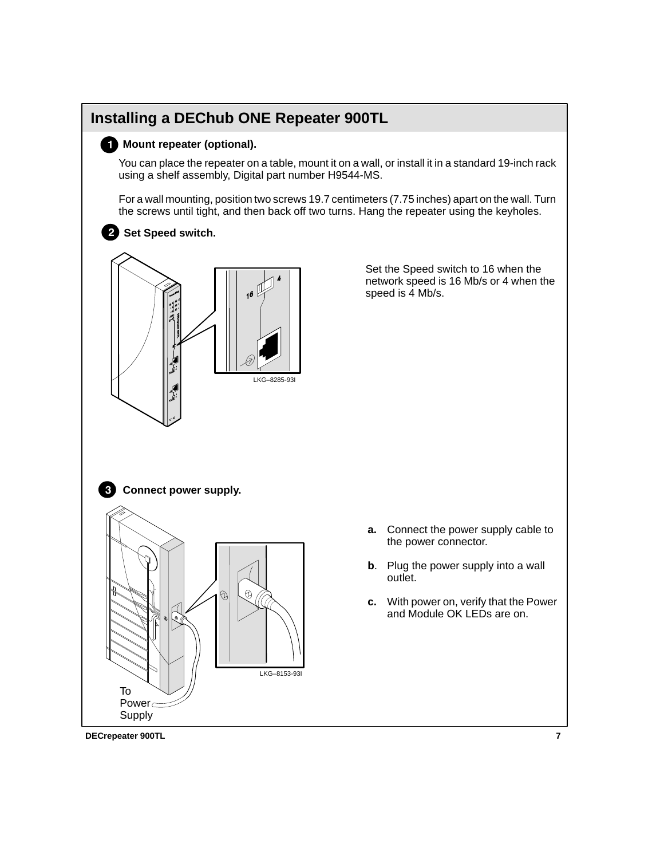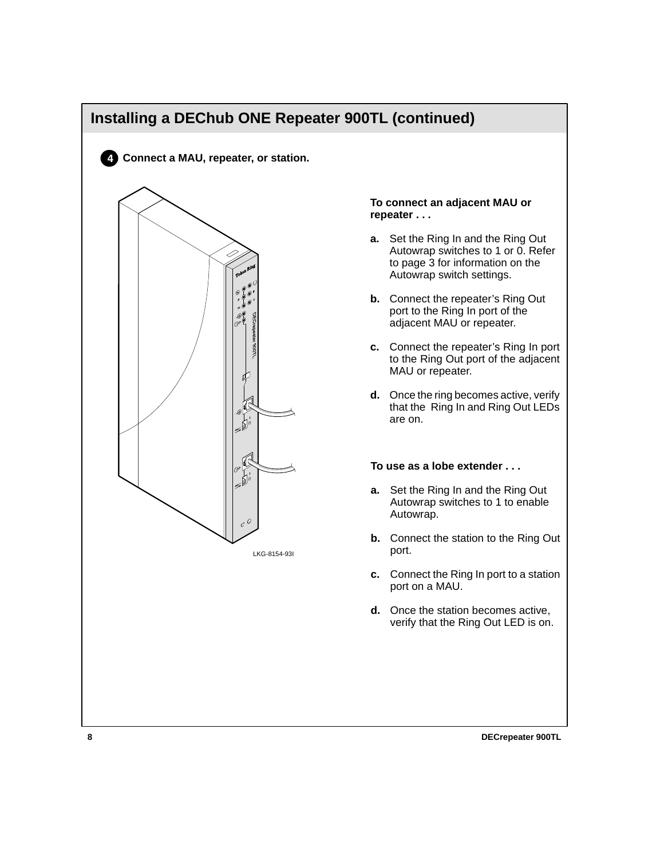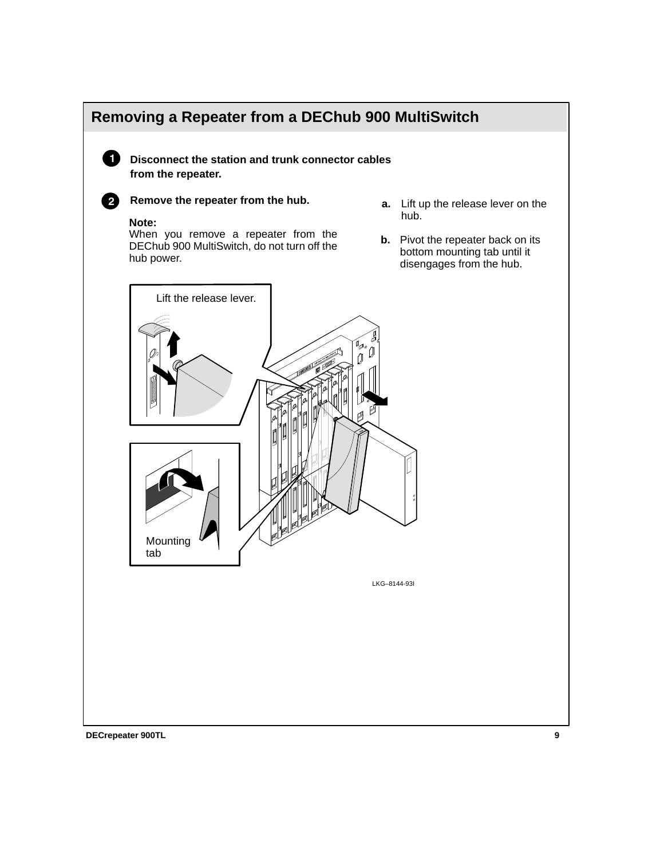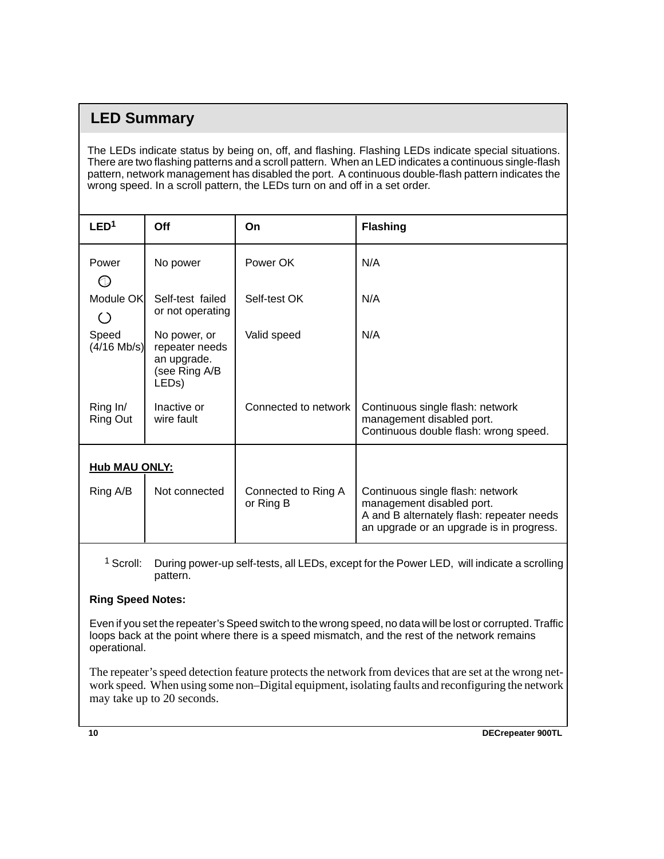## **LED Summary**

The LEDs indicate status by being on, off, and flashing. Flashing LEDs indicate special situations. There are two flashing patterns and a scroll pattern. When an LED indicates a continuous single-flash pattern, network management has disabled the port. A continuous double-flash pattern indicates the wrong speed. In a scroll pattern, the LEDs turn on and off in a set order.

| LED <sup>1</sup>       | Off                                                                                  | On                               | <b>Flashing</b>                                                                                                                                        |
|------------------------|--------------------------------------------------------------------------------------|----------------------------------|--------------------------------------------------------------------------------------------------------------------------------------------------------|
| Power<br>U             | No power                                                                             | Power OK                         | N/A                                                                                                                                                    |
| Module OK<br>( )       | Self-test failed<br>or not operating                                                 | Self-test OK                     | N/A                                                                                                                                                    |
| Speed<br>$(4/16$ Mb/s) | No power, or<br>repeater needs<br>an upgrade.<br>(see Ring A/B<br>LED <sub>s</sub> ) | Valid speed                      | N/A                                                                                                                                                    |
| Ring In/<br>Ring Out   | Inactive or<br>wire fault                                                            | Connected to network             | Continuous single flash: network<br>management disabled port.<br>Continuous double flash: wrong speed.                                                 |
| <b>Hub MAU ONLY:</b>   |                                                                                      |                                  |                                                                                                                                                        |
| Ring A/B               | Not connected                                                                        | Connected to Ring A<br>or Ring B | Continuous single flash: network<br>management disabled port.<br>A and B alternately flash: repeater needs<br>an upgrade or an upgrade is in progress. |

 $1$  Scroll: During power-up self-tests, all LEDs, except for the Power LED, will indicate a scrolling pattern.

### **Ring Speed Notes:**

Even if you set the repeater's Speed switch to the wrong speed, no data will be lost or corrupted. Traffic loops back at the point where there is a speed mismatch, and the rest of the network remains operational.

The repeater's speed detection feature protects the network from devices that are set at the wrong network speed. When using some non–Digital equipment, isolating faults and reconfiguring the network may take up to 20 seconds.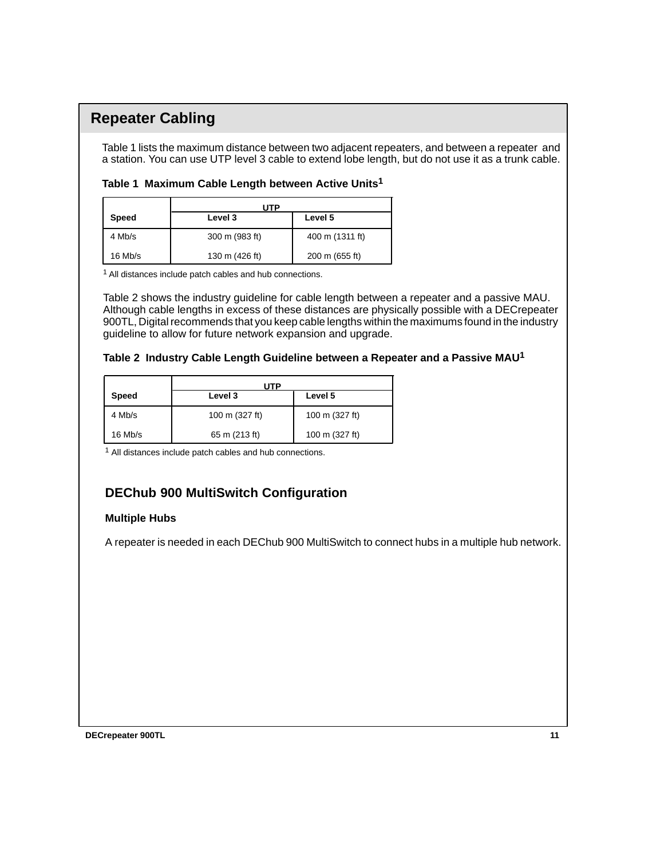## **Repeater Cabling**

Table 1 lists the maximum distance between two adjacent repeaters, and between a repeater and a station. You can use UTP level 3 cable to extend lobe length, but do not use it as a trunk cable.

|  | Table 1 Maximum Cable Length between Active Units <sup>1</sup> |  |  |  |  |  |
|--|----------------------------------------------------------------|--|--|--|--|--|
|--|----------------------------------------------------------------|--|--|--|--|--|

|              | UTP            |                 |  |
|--------------|----------------|-----------------|--|
| <b>Speed</b> | Level 3        | Level 5         |  |
| 4 Mb/s       | 300 m (983 ft) | 400 m (1311 ft) |  |
| $16$ Mb/s    | 130 m (426 ft) | 200 m (655 ft)  |  |

1 All distances include patch cables and hub connections.

Table 2 shows the industry guideline for cable length between a repeater and a passive MAU. Although cable lengths in excess of these distances are physically possible with a DECrepeater 900TL, Digital recommends that you keep cable lengths within the maximums found in the industry guideline to allow for future network expansion and upgrade.

#### **Table 2 Industry Cable Length Guideline between a Repeater and a Passive MAU1**

|              | ITP            |                |  |
|--------------|----------------|----------------|--|
| <b>Speed</b> | Level 3        | Level 5        |  |
| 4 Mb/s       | 100 m (327 ft) | 100 m (327 ft) |  |
| $16$ Mb/s    | 65 m (213 ft)  | 100 m (327 ft) |  |

1 All distances include patch cables and hub connections.

### **DEChub 900 MultiSwitch Configuration**

### **Multiple Hubs**

A repeater is needed in each DEChub 900 MultiSwitch to connect hubs in a multiple hub network.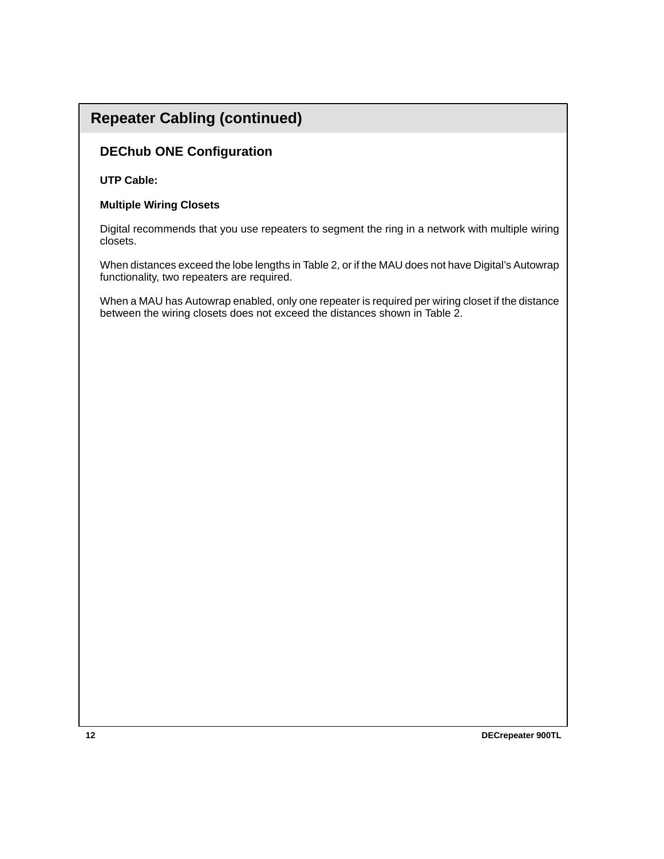## **Repeater Cabling (continued)**

### **DEChub ONE Configuration**

#### **UTP Cable:**

#### **Multiple Wiring Closets**

Digital recommends that you use repeaters to segment the ring in a network with multiple wiring closets.

When distances exceed the lobe lengths in Table 2, or if the MAU does not have Digital's Autowrap functionality, two repeaters are required.

When a MAU has Autowrap enabled, only one repeater is required per wiring closet if the distance between the wiring closets does not exceed the distances shown in Table 2.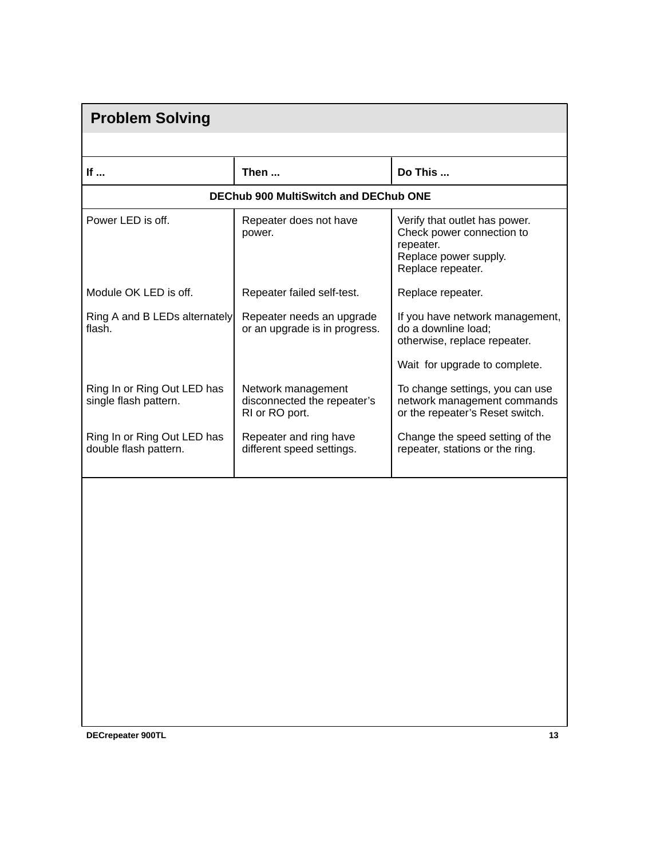| <b>Problem Solving</b>                               |                                                                     |                                                                                                                       |  |
|------------------------------------------------------|---------------------------------------------------------------------|-----------------------------------------------------------------------------------------------------------------------|--|
|                                                      |                                                                     |                                                                                                                       |  |
| If                                                   | Then                                                                | Do This                                                                                                               |  |
|                                                      | <b>DEChub 900 MultiSwitch and DEChub ONE</b>                        |                                                                                                                       |  |
| Power LED is off.                                    | Repeater does not have<br>power.                                    | Verify that outlet has power.<br>Check power connection to<br>repeater.<br>Replace power supply.<br>Replace repeater. |  |
| Module OK LED is off.                                | Repeater failed self-test.                                          | Replace repeater.                                                                                                     |  |
| Ring A and B LEDs alternately<br>flash.              | Repeater needs an upgrade<br>or an upgrade is in progress.          | If you have network management,<br>do a downline load;<br>otherwise, replace repeater.                                |  |
|                                                      |                                                                     | Wait for upgrade to complete.                                                                                         |  |
| Ring In or Ring Out LED has<br>single flash pattern. | Network management<br>disconnected the repeater's<br>RI or RO port. | To change settings, you can use<br>network management commands<br>or the repeater's Reset switch.                     |  |
| Ring In or Ring Out LED has<br>double flash pattern. | Repeater and ring have<br>different speed settings.                 | Change the speed setting of the<br>repeater, stations or the ring.                                                    |  |
|                                                      |                                                                     |                                                                                                                       |  |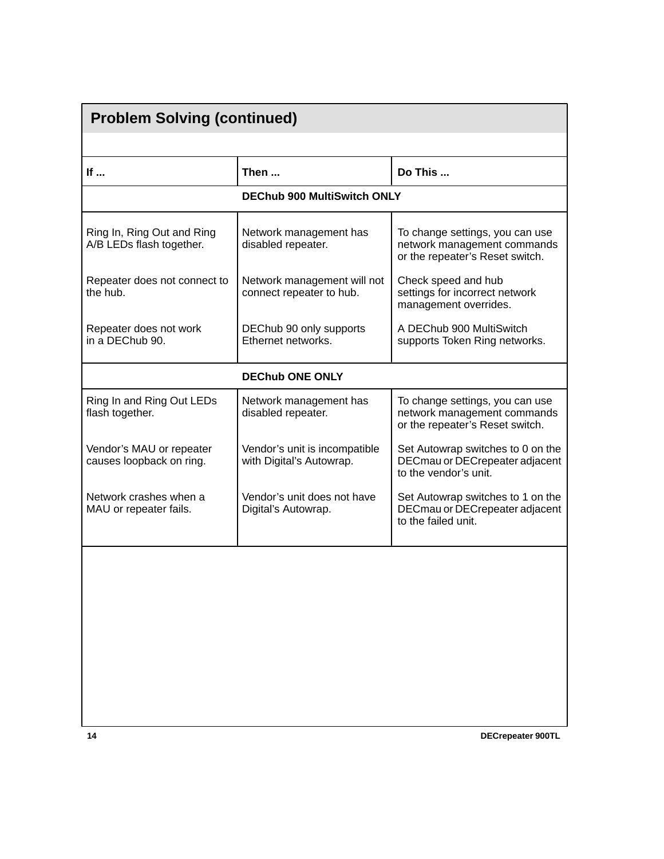| <b>Problem Solving (continued)</b>                     |                                                           |                                                                                                   |  |  |
|--------------------------------------------------------|-----------------------------------------------------------|---------------------------------------------------------------------------------------------------|--|--|
|                                                        |                                                           |                                                                                                   |  |  |
| If                                                     | Then                                                      | Do This                                                                                           |  |  |
|                                                        | <b>DEChub 900 MultiSwitch ONLY</b>                        |                                                                                                   |  |  |
| Ring In, Ring Out and Ring<br>A/B LEDs flash together. | Network management has<br>disabled repeater.              | To change settings, you can use<br>network management commands<br>or the repeater's Reset switch. |  |  |
| Repeater does not connect to<br>the hub.               | Network management will not<br>connect repeater to hub.   | Check speed and hub<br>settings for incorrect network<br>management overrides.                    |  |  |
| Repeater does not work<br>in a DEChub 90.              | DEChub 90 only supports<br>Ethernet networks.             | A DEChub 900 MultiSwitch<br>supports Token Ring networks.                                         |  |  |
| <b>DEChub ONE ONLY</b>                                 |                                                           |                                                                                                   |  |  |
| Ring In and Ring Out LEDs<br>flash together.           | Network management has<br>disabled repeater.              | To change settings, you can use<br>network management commands<br>or the repeater's Reset switch. |  |  |
| Vendor's MAU or repeater<br>causes loopback on ring.   | Vendor's unit is incompatible<br>with Digital's Autowrap. | Set Autowrap switches to 0 on the<br>DECmau or DECrepeater adjacent<br>to the vendor's unit.      |  |  |
| Network crashes when a<br>MAU or repeater fails.       | Vendor's unit does not have<br>Digital's Autowrap.        | Set Autowrap switches to 1 on the<br>DECmau or DECrepeater adjacent<br>to the failed unit.        |  |  |
|                                                        |                                                           |                                                                                                   |  |  |
|                                                        |                                                           |                                                                                                   |  |  |
|                                                        |                                                           |                                                                                                   |  |  |
|                                                        |                                                           |                                                                                                   |  |  |
|                                                        |                                                           |                                                                                                   |  |  |
|                                                        |                                                           |                                                                                                   |  |  |
| 14                                                     |                                                           | <b>DECrepeater 900TL</b>                                                                          |  |  |